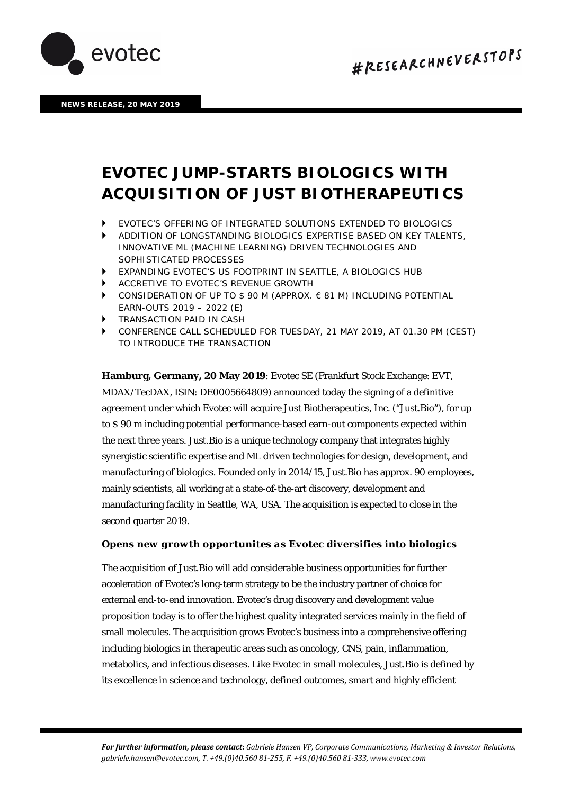

**NEWS RELEASE, 20 MAY 2019**

# *EVOTEC JUMP-STARTS BIOLOGICS WITH ACQUISITION OF JUST BIOTHERAPEUTICS*

- *EVOTEC'S OFFERING OF INTEGRATED SOLUTIONS EXTENDED TO BIOLOGICS*
- *ADDITION OF LONGSTANDING BIOLOGICS EXPERTISE BASED ON KEY TALENTS, INNOVATIVE ML (MACHINE LEARNING) DRIVEN TECHNOLOGIES AND SOPHISTICATED PROCESSES*
- *EXPANDING EVOTEC'S US FOOTPRINT IN SEATTLE, A BIOLOGICS HUB*
- *ACCRETIVE TO EVOTEC'S REVENUE GROWTH*
- *CONSIDERATION OF UP TO \$ 90 M (APPROX. € 81 M) INCLUDING POTENTIAL EARN-OUTS 2019 – 2022 (E)*
- *TRANSACTION PAID IN CASH*
- *CONFERENCE CALL SCHEDULED FOR TUESDAY, 21 MAY 2019, AT 01.30 PM (CEST) TO INTRODUCE THE TRANSACTION*

**Hamburg, Germany, 20 May 2019**: Evotec SE (Frankfurt Stock Exchange: EVT, MDAX/TecDAX, ISIN: DE0005664809) announced today the signing of a definitive agreement under which Evotec will acquire Just Biotherapeutics, Inc. ("Just.Bio"), for up to \$ 90 m including potential performance-based earn-out components expected within the next three years. Just.Bio is a unique technology company that integrates highly synergistic scientific expertise and ML driven technologies for design, development, and manufacturing of biologics. Founded only in 2014/15, Just.Bio has approx. 90 employees, mainly scientists, all working at a state-of-the-art discovery, development and manufacturing facility in Seattle, WA, USA. The acquisition is expected to close in the second quarter 2019.

# *Opens new growth opportunites as Evotec diversifies into biologics*

The acquisition of Just.Bio will add considerable business opportunities for further acceleration of Evotec's long-term strategy to be the industry partner of choice for external end-to-end innovation. Evotec's drug discovery and development value proposition today is to offer the highest quality integrated services mainly in the field of small molecules. The acquisition grows Evotec's business into a comprehensive offering including biologics in therapeutic areas such as oncology, CNS, pain, inflammation, metabolics, and infectious diseases. Like Evotec in small molecules, Just.Bio is defined by its excellence in science and technology, defined outcomes, smart and highly efficient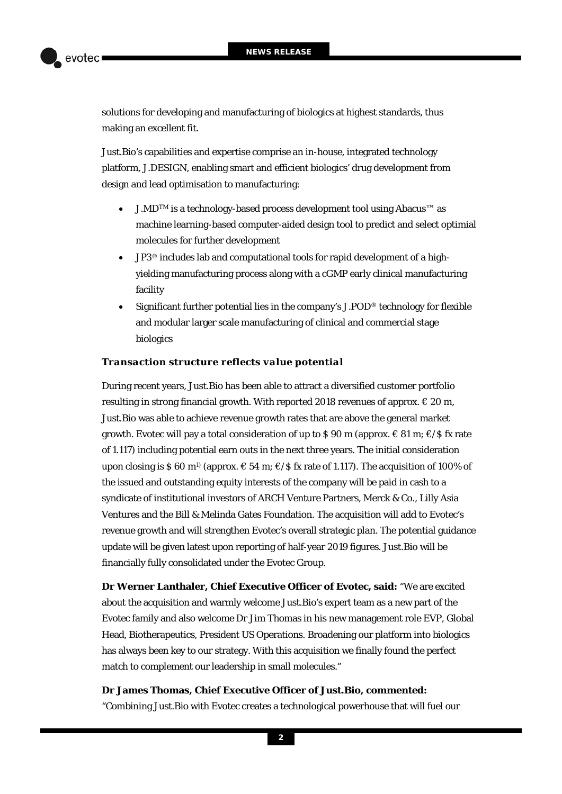

solutions for developing and manufacturing of biologics at highest standards, thus making an excellent fit.

Just.Bio's capabilities and expertise comprise an in-house, integrated technology platform, J.DESIGN, enabling smart and efficient biologics' drug development from design and lead optimisation to manufacturing:

- J.MDTM is a technology-based process development tool using Abacus™ as machine learning-based computer-aided design tool to predict and select optimial molecules for further development
- JP3® includes lab and computational tools for rapid development of a highyielding manufacturing process along with a cGMP early clinical manufacturing facility
- Significant further potential lies in the company's J.POD® technology for flexible and modular larger scale manufacturing of clinical and commercial stage biologics

# *Transaction structure reflects value potential*

During recent years, Just.Bio has been able to attract a diversified customer portfolio resulting in strong financial growth. With reported 2018 revenues of approx.  $\in$  20 m, Just.Bio was able to achieve revenue growth rates that are above the general market growth. Evotec will pay a total consideration of up to \$90 m (approx.  $\in$  81 m;  $\in$ /\$ fx rate of 1.117) including potential earn outs in the next three years. The initial consideration upon closing is \$ 60 m<sup>1</sup> (approx.  $\in$  54 m;  $\in$ /\$ fx rate of 1.117). The acquisition of 100% of the issued and outstanding equity interests of the company will be paid in cash to a syndicate of institutional investors of ARCH Venture Partners, Merck & Co., Lilly Asia Ventures and the Bill & Melinda Gates Foundation. The acquisition will add to Evotec's revenue growth and will strengthen Evotec's overall strategic plan. The potential guidance update will be given latest upon reporting of half-year 2019 figures. Just.Bio will be financially fully consolidated under the Evotec Group.

**Dr Werner Lanthaler, Chief Executive Officer of Evotec, said:** "We are excited about the acquisition and warmly welcome Just.Bio's expert team as a new part of the Evotec family and also welcome Dr Jim Thomas in his new management role EVP, Global Head, Biotherapeutics, President US Operations. Broadening our platform into biologics has always been key to our strategy. With this acquisition we finally found the perfect match to complement our leadership in small molecules."

# **Dr James Thomas, Chief Executive Officer of Just.Bio, commented:**

"Combining Just.Bio with Evotec creates a technological powerhouse that will fuel our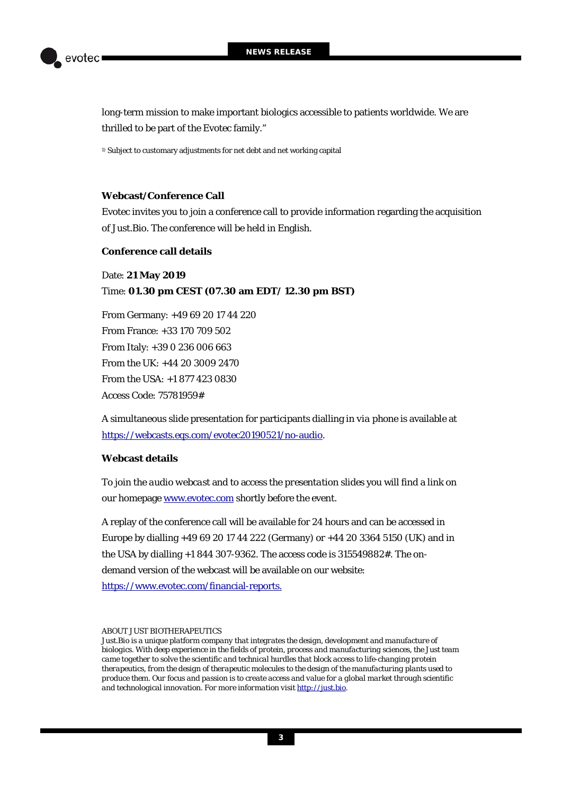

long-term mission to make important biologics accessible to patients worldwide. We are thrilled to be part of the Evotec family."

1) Subject to customary adjustments for net debt and net working capital

# **Webcast/Conference Call**

Evotec invites you to join a conference call to provide information regarding the acquisition of Just.Bio. The conference will be held in English.

## **Conference call details**

Date: **21 May 2019** Time: **01.30 pm CEST (07.30 am EDT/ 12.30 pm BST)**

From Germany: +49 69 20 17 44 220 From France: +33 170 709 502 From Italy: +39 0 236 006 663 From the UK: +44 20 3009 2470 From the USA: +1 877 423 0830 Access Code: 75781959#

A simultaneous slide presentation for participants dialling in *via phone* is available at https://webcasts.eqs.com/evotec20190521/no-audio.

# **Webcast details**

To join the *audio webcast* and to access the *presentation slides* you will find a link on our homepage [www.evotec.com](http://www.evotec.com/) shortly before the event.

A replay of the conference call will be available for 24 hours and can be accessed in Europe by dialling +49 69 20 17 44 222 (Germany) or +44 20 3364 5150 (UK) and in the USA by dialling +1 844 307-9362. The access code is 315549882#. The ondemand version of the webcast will be available on our website: <https://www.evotec.com/financial-reports.>

### *ABOUT JUST BIOTHERAPEUTICS*

*Just.Bio is a unique platform company that integrates the design, development and manufacture of biologics. With deep experience in the fields of protein, process and manufacturing sciences, the Just team came together to solve the scientific and technical hurdles that block access to life-changing protein therapeutics, from the design of therapeutic molecules to the design of the manufacturing plants used to produce them. Our focus and passion is to create access and value for a global market through scientific and technological innovation. For more information visi[t http://just.bio.](http://just.bio/)*